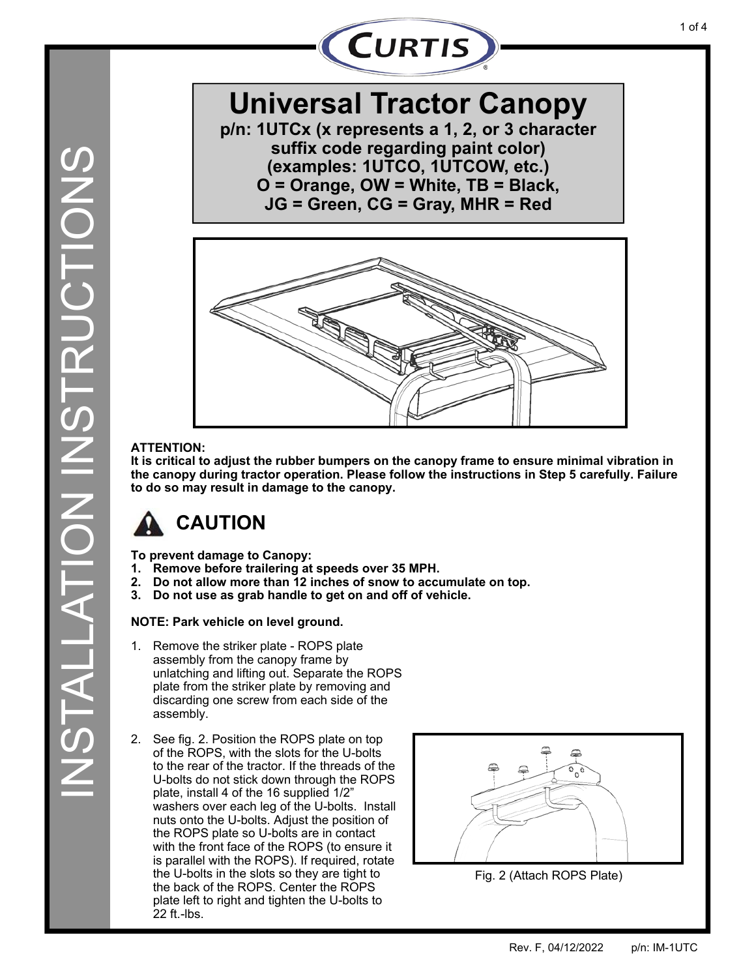

# **Universal Tractor Canopy**

**p/n: 1UTCx (x represents a 1, 2, or 3 character suffix code regarding paint color) (examples: 1UTCO, 1UTCOW, etc.) O = Orange, OW = White, TB = Black, JG = Green, CG = Gray, MHR = Red** 



#### **ATTENTION:**

**It is critical to adjust the rubber bumpers on the canopy frame to ensure minimal vibration in the canopy during tractor operation. Please follow the instructions in Step 5 carefully. Failure to do so may result in damage to the canopy.** 

## **CAUTION**

**To prevent damage to Canopy:** 

- **1. Remove before trailering at speeds over 35 MPH.**
- **2. Do not allow more than 12 inches of snow to accumulate on top.**
- **3. Do not use as grab handle to get on and off of vehicle.**

#### **NOTE: Park vehicle on level ground.**

- 1. Remove the striker plate ROPS plate assembly from the canopy frame by unlatching and lifting out. Separate the ROPS plate from the striker plate by removing and discarding one screw from each side of the assembly.
- 2. See fig. 2. Position the ROPS plate on top of the ROPS, with the slots for the U-bolts to the rear of the tractor. If the threads of the U-bolts do not stick down through the ROPS plate, install 4 of the 16 supplied 1/2" washers over each leg of the U-bolts. Install nuts onto the U-bolts. Adjust the position of the ROPS plate so U-bolts are in contact with the front face of the ROPS (to ensure it is parallel with the ROPS). If required, rotate the U-bolts in the slots so they are tight to the back of the ROPS. Center the ROPS plate left to right and tighten the U-bolts to 22 ft.-lbs.



Fig. 2 (Attach ROPS Plate)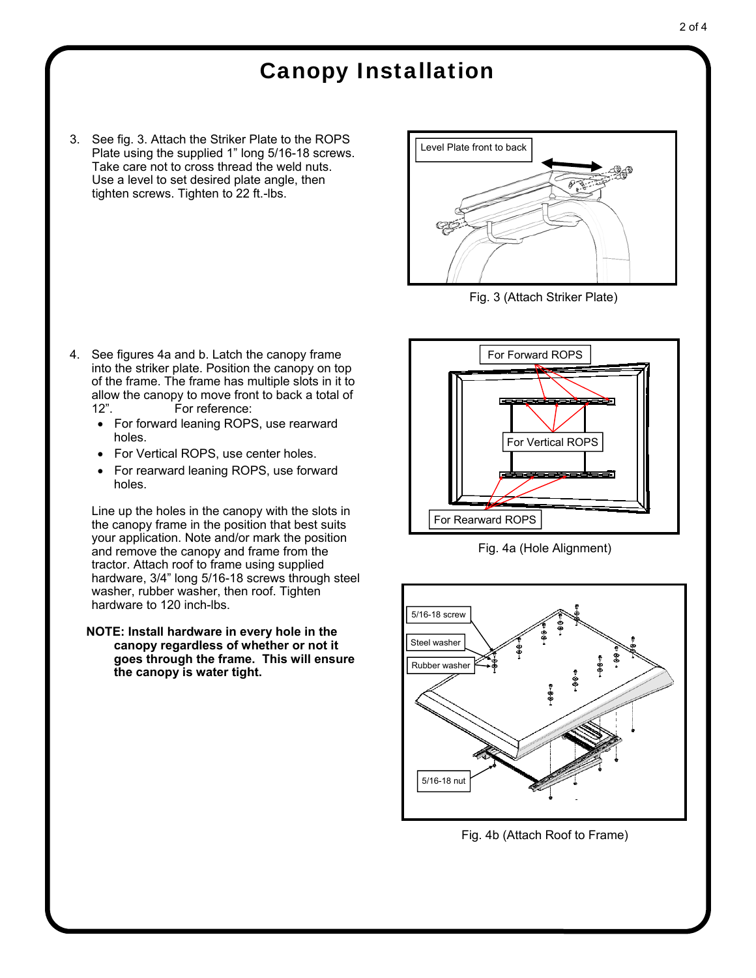### Canopy Installation

3. See fig. 3. Attach the Striker Plate to the ROPS Plate using the supplied 1" long 5/16-18 screws. Take care not to cross thread the weld nuts. Use a level to set desired plate angle, then tighten screws. Tighten to 22 ft.-lbs.

- 4. See figures 4a and b. Latch the canopy frame into the striker plate. Position the canopy on top of the frame. The frame has multiple slots in it to allow the canopy to move front to back a total of 12". For reference:
	- For forward leaning ROPS, use rearward holes.
	- For Vertical ROPS, use center holes.
	- For rearward leaning ROPS, use forward holes.

Line up the holes in the canopy with the slots in the canopy frame in the position that best suits your application. Note and/or mark the position and remove the canopy and frame from the tractor. Attach roof to frame using supplied hardware, 3/4" long 5/16-18 screws through steel washer, rubber washer, then roof. Tighten hardware to 120 inch-lbs.

**NOTE: Install hardware in every hole in the canopy regardless of whether or not it goes through the frame. This will ensure the canopy is water tight.**



Fig. 3 (Attach Striker Plate)



Fig. 4a (Hole Alignment)



Fig. 4b (Attach Roof to Frame)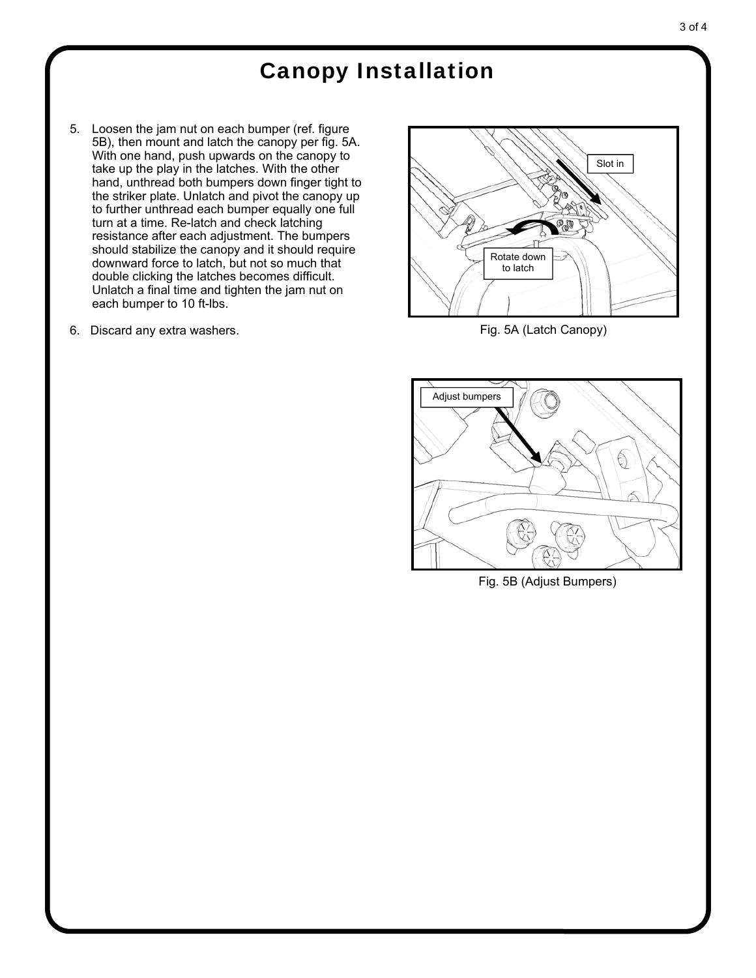### Canopy Installation

- 5. Loosen the jam nut on each bumper (ref. figure 5B), then mount and latch the canopy per fig. 5A. With one hand, push upwards on the canopy to take up the play in the latches. With the other hand, unthread both bumpers down finger tight to the striker plate. Unlatch and pivot the canopy up to further unthread each bumper equally one full turn at a time. Re-latch and check latching resistance after each adjustment. The bumpers should stabilize the canopy and it should require downward force to latch, but not so much that double clicking the latches becomes difficult. Unlatch a final time and tighten the jam nut on each bumper to 10 ft-lbs.
- 6. Discard any extra washers.



Fig. 5A (Latch Canopy)



Fig. 5B (Adjust Bumpers)